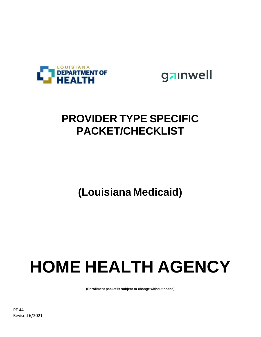



### **PROVIDER TYPE SPECIFIC PACKET/CHECKLIST**

### **(Louisiana Medicaid)**

# **HOME HEALTH AGENCY**

**(Enrollment packet is subject to change without notice)**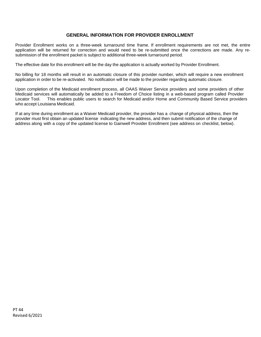#### **GENERAL INFORMATION FOR PROVIDER ENROLLMENT**

Provider Enrollment works on a three-week turnaround time frame. If enrollment requirements are not met, the entire application will be returned for correction and would need to be re-submitted once the corrections are made. Any resubmission of the enrollment packet is subject to additional three-week turnaround period.

The effective date for this enrollment will be the day the application is actually worked by Provider Enrollment.

No billing for 18 months will result in an automatic closure of this provider number, which will require a new enrollment application in order to be re-activated. No notification will be made to the provider regarding automatic closure.

Upon completion of the Medicaid enrollment process, all OAAS Waiver Service providers and some providers of other Medicaid services will automatically be added to a Freedom of Choice listing in a web-based program called Provider Locator Tool. This enables public users to search for Medicaid and/or Home and Community Based Service providers who accept Louisiana Medicaid.

If at any time during enrollment as a Waiver Medicaid provider, the provider has a change of physical address, then the provider must first obtain an updated license indicating the new address, and then submit notification of the change of address along with a copy of the updated license to Gainwell Provider Enrollment (see address on checklist, below).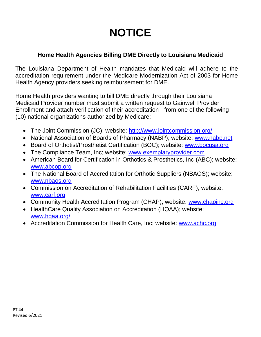### **NOTICE**

### **Home Health Agencies Billing DME Directly to Louisiana Medicaid**

The Louisiana Department of Health mandates that Medicaid will adhere to the accreditation requirement under the Medicare Modernization Act of 2003 for Home Health Agency providers seeking reimbursement for DME.

Home Health providers wanting to bill DME directly through their Louisiana Medicaid Provider number must submit a written request to Gainwell Provider Enrollment and attach verification of their accreditation - from one of the following (10) national organizations authorized by Medicare:

- The Joint Commission (JC); website: [http://www.jointcommission.o](http://www.jointcommission.org/)rg/
- National Association of Boards of Pharmacy (NABP); website: [www.nabp.n](http://www.nabp.net/)et
- Board of Orthotist/Prosthetist Certification (BOC); website: [www.bocusa.or](http://www.bocusa.org/)g
- The Compliance Team, Inc; website: [www.exemplaryprovider.co](http://www.exemplaryprovider.com/)m
- American Board for Certification in Orthotics & Prosthetics, Inc (ABC); website: [www.abcop.org](http://www.abcop.org/)
- The National Board of Accreditation for Orthotic Suppliers (NBAOS); website: [www.nbaos.org](http://www.nbaos.org/)
- Commission on Accreditation of Rehabilitation Facilities (CARF); website: [www.carf.org](http://www.carf.org/)
- Community Health Accreditation Program (CHAP); website: [www.chapinc.o](http://www.chapinc.org/)rg
- HealthCare Quality Association on Accreditation (HQAA); website: [www.hqaa.org/](http://www.hqaa.org/)
- Accreditation Commission for Health Care, Inc; website: [www.achc.o](http://www.achc.org/)rg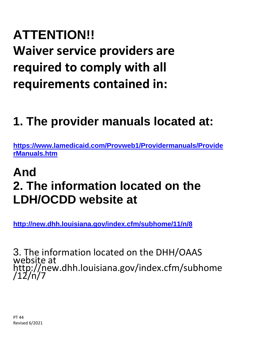# **ATTENTION!! Waiver service providers are required to comply with all requirements contained in:**

## **1. The provider manuals located at:**

**[https://www.lamedicaid.com/Provweb1/Providermanuals/Provide](https://www.lamedicaid.com/Provweb1/Providermanuals/ProviderManuals.htm) [rManuals.htm](https://www.lamedicaid.com/Provweb1/Providermanuals/ProviderManuals.htm)**

### **And 2. The information located on the LDH/OCDD website at**

**<http://new.dhh.louisiana.gov/index.cfm/subhome/11/n/8>**

3. The information located on the DHH/OAAS website at http://new.dhh.louisiana.gov/index.cfm/subhome /12/n/7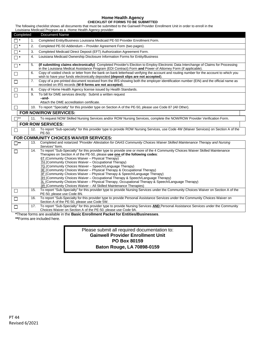### **Home Health Agency**

**CHECKLIST OF FORMS TO BE SUBMITTED** The following checklist shows all documents that must be submitted to the Gainwell Provider Enrollment Unit in order to enroll in the Louisiana Medicaid Program as a Home Health Agency provider:

| Completed         |     | <b>Document Name</b>                                                                                                                                                                                                                                                                                                                                                                                                                                                                                                                                                                                                                                                                                                                                                                                    |
|-------------------|-----|---------------------------------------------------------------------------------------------------------------------------------------------------------------------------------------------------------------------------------------------------------------------------------------------------------------------------------------------------------------------------------------------------------------------------------------------------------------------------------------------------------------------------------------------------------------------------------------------------------------------------------------------------------------------------------------------------------------------------------------------------------------------------------------------------------|
| $\Box$ $^{\star}$ | 1.  | Completed Entity/Business Louisiana Medicaid PE-50 Provider Enrollment Form.                                                                                                                                                                                                                                                                                                                                                                                                                                                                                                                                                                                                                                                                                                                            |
| $\Box$ $^{\star}$ | 2.  | Completed PE-50 Addendum - Provider Agreement Form (two pages).                                                                                                                                                                                                                                                                                                                                                                                                                                                                                                                                                                                                                                                                                                                                         |
| $\Box$ *          | 3.  | Completed Medicaid Direct Deposit (EFT) Authorization Agreement Form.                                                                                                                                                                                                                                                                                                                                                                                                                                                                                                                                                                                                                                                                                                                                   |
| $\Box$ *          | 4.  | Louisiana Medicaid Ownership Disclosure Information Forms for Entity/Business                                                                                                                                                                                                                                                                                                                                                                                                                                                                                                                                                                                                                                                                                                                           |
| $\square$ $^*$    | 5.  | (If submitting claims electronically) Completed Provider's Election to Employ Electronic Data Interchange of Claims for Processing<br>in the Louisiana Medical Assistance Program (EDI Contract) Form and Power of Attorney Form (if applicable).                                                                                                                                                                                                                                                                                                                                                                                                                                                                                                                                                       |
| $\Box$            | 6.  | Copy of voided check or letter from the bank on bank letterhead verifying the account and routing number for the account to which you<br>wish to have your funds electronically deposited (deposit slips are not accepted).                                                                                                                                                                                                                                                                                                                                                                                                                                                                                                                                                                             |
| $\Box$            | 7.  | Copy of a pre-printed document received from the IRS showing both the employer identification number (EIN) and the official name as<br>recorded on IRS records (W-9 forms are not accepted).                                                                                                                                                                                                                                                                                                                                                                                                                                                                                                                                                                                                            |
| $\Box$            | 8.  | Copy of Home Health Agency license issued by Health Standards.                                                                                                                                                                                                                                                                                                                                                                                                                                                                                                                                                                                                                                                                                                                                          |
| $\Box$            | 9.  | To bill for DME services directly: Submit a written request<br>-and-<br>Attach the DME accreditation certificate.                                                                                                                                                                                                                                                                                                                                                                                                                                                                                                                                                                                                                                                                                       |
| $\Box$            |     | 10. To report "Specialty" for this provider type on Section A of the PE-50, please use Code 87 (All Other).                                                                                                                                                                                                                                                                                                                                                                                                                                                                                                                                                                                                                                                                                             |
|                   |     | <b>FOR NOW/ROW SERVICES:</b>                                                                                                                                                                                                                                                                                                                                                                                                                                                                                                                                                                                                                                                                                                                                                                            |
| $\Box^{**}$       | 11. | To request NOW Skilled Nursing Services and/or ROW Nursing Services, complete the NOW/ROW Provider Verification Form.                                                                                                                                                                                                                                                                                                                                                                                                                                                                                                                                                                                                                                                                                   |
|                   |     | <b>FOR ROW SERVICES:</b>                                                                                                                                                                                                                                                                                                                                                                                                                                                                                                                                                                                                                                                                                                                                                                                |
| $\Box$            | 12. | To report "Sub-specialty" for this provider type to provide ROW Nursing Services, use Code 4W (Waiver Services) on Section A of the<br>PE-50.                                                                                                                                                                                                                                                                                                                                                                                                                                                                                                                                                                                                                                                           |
|                   |     | <b>FOR COMMUNITY CHOICES WAIVER SERVICES:</b>                                                                                                                                                                                                                                                                                                                                                                                                                                                                                                                                                                                                                                                                                                                                                           |
| $\Box^{**}$       | 13. | Completed and notarized "Provider Attestation for OAAS Community Choices Waiver Skilled Maintenance Therapy and Nursing<br>Services" form.                                                                                                                                                                                                                                                                                                                                                                                                                                                                                                                                                                                                                                                              |
| П                 | 14. | To report "Sub-Specialty" for this provider type to provide one or more of the 4 Community Choices Waiver Skilled Maintenance<br>Therapies on Section A of the PE-50, please use one of the following codes:<br>6T (Community Choices Waiver - Physical Therapy)<br>7H (Community Choices Waiver - Occupational Therapy)<br>7G (Community Choices Waiver - Speech/Language Therapy)<br>3E (Community Choices Waiver – Physical Therapy & Occupational Therapy)<br>3F (Community Choices Waiver - Physical Therapy & Speech/Language Therapy)<br>3H (Community Choices Waiver - Occupational Therapy & Speech/Language Therapy)<br>3L (Community Choices Waiver - Physical Therapy, Occupational Therapy & Speech/Language Therapy)<br>3R (Community Choices Waiver - All Skilled Maintenance Therapies) |
| $\Box$            | 15. | To report "Sub-Specialty" for this provider type to provide Nursing Services under the Community Choices Waiver on Section A of the<br>PE-50, please use Code 8N.                                                                                                                                                                                                                                                                                                                                                                                                                                                                                                                                                                                                                                       |
| $\Box$            | 16. | To report "Sub-Specialty for this provider type to provide Personal Assistance Services under the Community Choices Waiver on<br>Section A of the PE-50, please use Code 5W.                                                                                                                                                                                                                                                                                                                                                                                                                                                                                                                                                                                                                            |
| $\Box$            | 17. | To report "Sub-Specialty" for this provider type to provide Nursing Services AND Personal Assistance Services under the Community<br>Choices Waiver on Section A of the PE-50, please use Code 9A.                                                                                                                                                                                                                                                                                                                                                                                                                                                                                                                                                                                                      |
|                   |     | *These forms are available in the Basic Enrollment Packet for Entities/Businesses                                                                                                                                                                                                                                                                                                                                                                                                                                                                                                                                                                                                                                                                                                                       |

**\***These forms are available in the **Basic Enrollment Packet for Entities/Businesses**.

**\*\***Forms are included here.

| Please submit all required documentation to: |  |
|----------------------------------------------|--|
| <b>Gainwell Provider Enrollment Unit</b>     |  |
| PO Box 80159                                 |  |
| Baton Rouge, LA 70898-0159                   |  |
|                                              |  |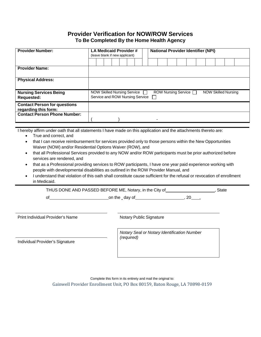#### **Provider Verification for NOW/ROW Services To Be Completed By the Home Health Agency**

| <b>Provider Number:</b>                                     |  | LA Medicaid Provider#<br>(leave blank if new applicant) |  |  |                                    |  |                                 |  |  | <b>National Provider Identifier (NPI)</b> |  |  |                     |  |                            |  |  |  |  |
|-------------------------------------------------------------|--|---------------------------------------------------------|--|--|------------------------------------|--|---------------------------------|--|--|-------------------------------------------|--|--|---------------------|--|----------------------------|--|--|--|--|
|                                                             |  |                                                         |  |  |                                    |  |                                 |  |  |                                           |  |  |                     |  |                            |  |  |  |  |
| <b>Provider Name:</b>                                       |  |                                                         |  |  |                                    |  |                                 |  |  |                                           |  |  |                     |  |                            |  |  |  |  |
| <b>Physical Address:</b>                                    |  |                                                         |  |  |                                    |  |                                 |  |  |                                           |  |  |                     |  |                            |  |  |  |  |
| <b>Nursing Services Being</b><br><b>Requested:</b>          |  |                                                         |  |  | <b>NOW Skilled Nursing Service</b> |  | Service and ROW Nursing Service |  |  |                                           |  |  | ROW Nursing Service |  | <b>NOW Skilled Nursing</b> |  |  |  |  |
| <b>Contact Person for questions</b><br>regarding this form: |  |                                                         |  |  |                                    |  |                                 |  |  |                                           |  |  |                     |  |                            |  |  |  |  |
| <b>Contact Person Phone Number:</b>                         |  |                                                         |  |  |                                    |  |                                 |  |  |                                           |  |  |                     |  |                            |  |  |  |  |

I hereby affirm under oath that all statements I have made on this application and the attachments thereto are:

- True and correct, and
- that I can receive reimbursement for services provided only to those persons within the New Opportunities Waiver (NOW) and/or Residential Options Waiver (ROW), and
- that all Professional Services provided to any NOW and/or ROW participants must be prior authorized before services are rendered, and
- that as a Professional providing services to ROW participants, I have one year paid experience working with people with developmental disabilities as outlined in the ROW Provider Manual, and
- I understand that violation of this oath shall constitute cause sufficient for the refusal or revocation of enrollment in Medicaid.

THUS DONE AND PASSED BEFORE ME, Notary, in the City of **will are contained as a state**, State

of on the day of the control on the day of the set of  $\sim$ , 20  $\sim$ .

Print Individual Provider's Name Notary Public Signature

*Notary Seal or Notary Identification Number (required)*

Individual Provider's Signature

Complete this form in its entirety and mail the original to: Gainwell Provider Enrollment Unit, PO Box 80159, Baton Rouge, LA 70898-0159